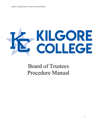# KILGORE

# Board of Trustees Procedure Manual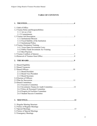# **TABLE OF CONTENTS**

| 1.1 Oath of Office                                |
|---------------------------------------------------|
| 1.2 Trustee Roles and Responsibilities            |
| 1.1.1 Act as a Unit                               |
| 1.1.2 Commitments                                 |
| 1.3.1 Institutional Mission                       |
| 1.3.2 Fiscal Stability of the Institution         |
| 1.3.3 Institutional Policy                        |
|                                                   |
| 1.4.1 Texas Open Government Laws                  |
| 1.4.2 Public Funds Investment Act Training        |
| 1.4.3 Best Practices                              |
|                                                   |
|                                                   |
|                                                   |
| 2.1 Board Eligibility                             |
| 2.2 Board Vacancies                               |
|                                                   |
| 2.3.1 Board President                             |
| 2.3.2 Board Vice-President                        |
| 2.3.3 Board Secretary<br>2.4 Election of Officers |
|                                                   |
| 2.6 Board Committees                              |
| 2.6.1 Executive Committee                         |
|                                                   |
| 2.6.3 Policy & Personnel Committee                |
| 2.6.4 Property & Facilities Committee             |
| 2.6.5 Student Success Committee                   |
|                                                   |
|                                                   |
| 3.1 Regular Meeting Structure                     |
| 3.2 Notice of Regular Meetings                    |
|                                                   |
| 3.4 Notice of Special Meetings                    |
| 3.5 Emergency Meetings                            |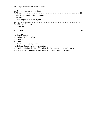| 3.6 Notice of Emergency Meetings                                           |
|----------------------------------------------------------------------------|
|                                                                            |
| 3.8 Participation Other Than in Person                                     |
| 3.9 Agenda                                                                 |
| 3.10 Placing an Item on the Agenda                                         |
|                                                                            |
| 3.12 Citizens Comments                                                     |
| 3.13 Board Dinner                                                          |
|                                                                            |
|                                                                            |
| 4.1 Board Website                                                          |
| 4.2 College ID/Parking Permits                                             |
| 4.3 Mileage                                                                |
| 4.4 Travel                                                                 |
| 4.5 Invitations to College Events                                          |
| 4.6 College Commencement Participation                                     |
| 4.7 Media, Including the Use of Social Media, Recommendations for Trustees |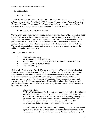# **1. TRUSTEES:**

# **1.1 Oath of Office**

*IN THE NAME AND BY THE AUTHORITY OF THE STATE OF TEXAS, I, \_\_\_\_\_\_\_\_\_\_\_\_\_, do solemnly swear (or affirm), that I will faithfully execute the duties of the office of Kilgore College Trustee of the State of Texas, and will to the best of my ability preserve, protect, and defend the Constitution and laws of the United States and of this State, so help me God.*

# **1.2 Trustee Roles and Responsibilities**

Trustees are responsible for ensuring that the college is an integral part of the communities that it serves. They are tasked with recognizing the ever-changing educational needs of the residents from those communities. They are accountable to the residents of those communities for the performance and welfare of the institution that they govern. The Board of Trustees exists to represent the general public and advocate for quality educational programming for students. Trustees discuss multiple viewpoints and issues in public, and have strategies to include the public in the policy-making process.

Effective Trustees and Boards:

- Focus on student success
- Know community needs and trends
- Seek out and consider multiple perspectives when making policy decisions
- Debate and discuss issues in public
- Serve the public good

Collectively, Trustees form a Board of Trustees. As stewards of the institution, the Board of Trustees advance the mission of the college through policy. Individual Trustees have specific responsibilities to contribute to the effective function of the Board of Trustees as a whole. Trustees are visionary and thoughtful leaders. They understand the college culture and programs, and support the college's pursuit of its mission. Trustees act with integrity and respect, and use their influence appropriately. They avoid situations where there are actual or perceived conflicts of interest. Wise Trustees work together as a team to guide their college to excellence and success.

#### **1.1.1 Act as a Unit**

The Board is a corporate body. It governs as a unit with one voice. This principle means that individual Trustees have authority only when they are acting as a Board. They have no power to act on their own or to direct college employees or operations. The power of governance is expressed through one voice. As individuals, Trustees make no commitments of behalf of the Board to constituents, nor do they criticize or work against Board decisions.

In order for Boards to be cohesive and well-functioning units, Trustees must work together as a team toward common goals. Boards have structures and rules for operating that ensure they conduct their business effectively and efficiently, that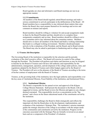Board agendas are clear and informative and Board meetings are run in an appropriate manner.

#### **1.1.2 Commitments**

All members of the Board should regularly attend Board meetings and make a serious commitment to actively participate in the deliberations of the Board. All Board members have a responsibility to stay informed about matters that come before the Board; they must prepare themselves for meetings and review and comment on minutes and reports.

Board members should be willing to volunteer for and accept assignments made to them by the Board President and they should strive to complete those assignments completely and on time. Board members should be willing to serve on a committee and to stay informed about the committee matters. Members should strive to know all members of the Board and build a working relationship that leads to a collegial working environment. Members should participate actively in the evaluations of the President, and the Board, and in Board retreats. The Board may also be asked to participate in fundraising and in college events.

#### **1.3 Trustee Job Description**

The Governing Board of the institution is responsible for the selection and the periodic evaluation of the chief executive officer. The Board will exercise its control of the college through the President. The President will perform such duties and functions as may be assigned to him/her by the Board of Trustees and will have full authority and responsibility for the administration, management, operation, and development of the college under policies, rules, and regulations adopted by the Board of Trustees and within budgets approved by the Board of Trustees. The President will serve at the pleasure of the Board of Trustees according to the terms of his/her contract of employment with the Board of Trustees.

Trustees, as the governing body of the institution, have the legal authority and responsibility over the key areas of: Institutional Mission, Fiscal Stability of the Institution, and Institutional Policy.

#### **1.3.1 Institutional Mission**

The Board is responsible for the annual review and approval of the Kilgore College Mission Statement. Staff present the document to the Board, with any suggested revisions, and the Board reviews the Mission and approves any changes deemed warranted. This responsibility involves a concentration on the "big picture" and a focus on the future educational needs of the constituents served by the institution.

This responsibility challenges the Board to think strategically and reflects the important role that the Board plays in the development, implementation, and evaluation of the institution's Strategic Plan. The institution's mission statement guides the strategic direction of the college in accordance with the unique needs of the communities and constituents served by the institution. Progress on the outcomes associated with the Strategic Plan are formally reviewed on an annual basis and are a component of the President's Evaluation.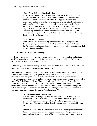#### **1.3.2 Fiscal Stability of the Institution**

The Board is responsible for the review and approval of the Kilgore College Budget. Initially, staff present a draft budget document to the Investment, Finance, and Audit Committee for feedback. Suggested revisions are incorporated and the draft budget is then delivered to the entire Board during a budget workshop. Revisions from the workshop are incorporated and the document is then brought before the Board at its regularly called meeting in August of each fiscal year for official approval. The Board further exercises its responsibility for the fiscal stability of the institution as, after the budget is approved and in support of the budget, it sets the annual tax rate for its taxing district at its September meeting.

#### **1.3.3 Institutional Policy**

The Board of Trustees collectively formulates and establishes policy and designates policy administration to the President and college staff. In addition, the President and college staff may propose new or revised policy to the Board of Trustees for consideration.

#### **1.4 Trustee Orientation Training**

Each member of a governing Board will attend training as required by state law. All training certificates must be maintained by both the Trustee and in the KC President's Office, and should be available for public inspection upon request.

Additionally, in order to further acquaint new Trustees with the Institution, the President's Office provides a comprehensive orientation and campus tour.

During the first year of service as a Trustee, regardless of being elected or appointed, all Board members must attend a training program that focuses on the official role and duties of the members of governing boards and provides training in the areas of budgeting, policy development, and governance. Attendance at the day-long session, offered annually in the fall as part of the THECB annual Higher Education Leadership Conference, satisfies this legal requirement. Videos from the conference are also available online approximately one month after the Leadership Conference for those who are unable to attend the conference in person. Satisfactory completion of an assessment test (70%) subsequent to watching the videos satisfies this legal requirement. *(Texas Education Code, Section 61.084)*

#### **1.4.1 Texas Open Government Laws**

The Texas Open Meetings Act *(Government Code 551.005)* and the Public Information Act *(Government Code 552.012)* impose mandatory open government educational requirements on elected and appointed officials. Trustees have 90 days to complete Open Government training required by state law.

The Office of the Attorney General offers free online training courses to ensure that all government officials have a good command of both open records and open meetings laws. Upon completion of the online training, members will receive a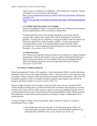code to access a Certificate of Completion. After printing the certificate, Trustees will submit it to the Assistant to the President. [https://www.texasattorneygeneral.gov/media/videos/play.php?image=2005openre](https://www.texasattorneygeneral.gov/media/videos/play.php?image=2005openrecords&id=150) [cords&id=150](https://www.texasattorneygeneral.gov/media/videos/play.php?image=2005openrecords&id=150) [https://www.oag.state.tx.us/media/videos/play.php?image=2005openmeetings&id](https://www.oag.state.tx.us/media/videos/play.php?image=2005openmeetings&id=149)  $=149$ 

#### **1.4.2 Public Funds Investment Act Training**

Elected and appointed Trustees must attend at least one training session relating to his/her responsibilities within six months of taking office.

Training under this section must include education in investment controls, security risks, strategy risks, market risks, and diversification of investment portfolio. Training may be satisfied by viewing the Public Funds Investment Act DVD (provided by the college President's Office). Trustees must sign the "Protecting Public Funds: Your Responsibilities under the Public Funds Investment Act" acknowledgement form and submit it to the Assistant to the President. *(Government Code 2256.007)*

#### **1.4.3 Best Practices**

New Trustees are required to attend sessions for best practices in campus financial management, financial ratio analysis, and case studies using financial indicators. These sessions provided by the Texas Higher Education Coordinating Board satisfy the training requirement for newly appointed and elected Trustees. *(Education Code 61.084)*

#### **1.5 Trustee Conflicts of Interest**

Elected and appointed Trustees will complete a "Local Government Officer Conflicts Disclosure Statement" kept on file in the college President's office. This form will be used to disclose areas of possible conflict of interest where the Trustee must abstain from participation. This form will be updated annually in June, is available for public inspection upon request, and will also be posted on the Board website. *(Local Government Code 171)*

Kilgore College Trustees will not accept or solicit any gift, favor, service or benefit that the Trustee should reasonably know is offered with the intent to influence their decisions or actions. Likewise, the Trustee will not solicit, accept, or agree to accept any unauthorized gifts, services, or other benefits from having exercised the powers and responsibilities of their official positions. Strict adherence to these tenets protects and preserves Kilgore College's independence from outside pressure.

Trustees of Kilgore College will not accept gifts, either in-kind or of money, or excessive entertainment, from a vendor.

> a. Gifts include any items not obviously of an advertising nature. Gifts of an advertising nature are those with the name of the firm affixed which have an estimated value of \$50.00 or less. *(Texas Penal Code 36.10.a.6)*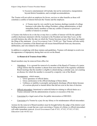Kilgore College Board of Trustees Procedure Manual

b. Excessive entertainment will include, but not be restricted to, transportation beyond district boundaries, and overnight accommodations.

The Trustee will not solicit an employee for favors, services or other benefits as those will constitute a conflict of interest between the Trustee and the employee.

> a. A Trustee must be very careful in any business dealings (outside of college business) with either the college President, college administration, or their immediate family members so that any conflict of interest or perceived conflict of interest is avoided.

A Trustee who believes he or she has or may have a conflict of interest will file the updated conflicts disclosure statement with the Assistant to the President not later than 5 p.m. on the seventh business day after the date on which the Trustee becomes aware of the facts that require the filing of the statement. *(Local Government Code 176.003 (a))* That Trustee will also notify the Executive Committee of the Board and will recuse himself/herself from any discussion, deliberation, and vote related to this conflict.

In addition to complying with these statutes and guidelines, Trustees will attempt to avoid even the appearance of impropriety during their service on the Board.

#### **1.6 Removal of Trustees from Office**

Board members may be removed from office for:

- Attendance: It is a ground for removal of a member of the Board of Trustees of a junior college district that the member is absent from more than half of the regularly scheduled Board meetings that the member is eligible to attend during a calendar year, not counting an absence for which the member is excused by a majority vote of the Board.
- Incompetence: which means:
	- o Gross ignorance of official duties.
	- o Gross carelessness in the official discharge of those duties.
	- o Unfitness or inability to promptly and properly discharge official duties because of a serious physical or mental defect that did not exist at the time of election.
- Official misconduct: Intentional or unlawful behavior relating to official duties as a Trustee entrusted with the administration of justice or execution of the law.
- Conviction by a legal court-of-law for public intoxication or DWI/DUI.
- Conviction of a Trustee by a jury for any felony or for misdemeanor official misconduct.

Actions for the removal of Board members must be brought before the judge of the district court holding jurisdiction, except that any court convicting a Trustee of a felony or official misconduct will order immediate removal. *(Local Government Code 87.011, 87.012, 87.013, 87.031; Education Code 44.032 (e))*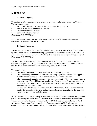# **2. THE BOARD**

# **2.1 Board Eligibility**

To be eligible to be a candidate for, or elected or appointed to, the office of Kilgore College Trustee, a person must:

- Be a qualified (registered) voter in the voting unit to be represented.
- Reside in the voting unit to be represented.
- Take the official oath of office.
- Serve without compensation.

*(Education Code 130.082 (d))*

A Trustee vacates the office if he or she ceases to reside in the Trustee district he or she represents. *(Education Code 130.0822 (h))*

#### **2.2 Board Vacancies**

Any vacancy occurring on the Board through death, resignation, or otherwise, will be filled by a special election ordered by the Board or by appointment by resolution or order of the Board. A person appointed to fill a vacancy in a Trustee district must be a resident of that Trustee district. *(Education Code 130.082 (d))*

If a Board seat becomes vacant during its prescribed term, the Board will usually appoint someone to the position. An appointment to the Board may be made with the intent to ensure that the Board is representative of the constituency served by the Board.

The procedure is:

- The Board President will appoint an ad-hoc Nominating Committee.
- The Nominating Committee will advertise for the open position. Any qualified applicant from the correct voting unit can be nominated and apply for the position.
- The Nominating Committee will review the list of applicants. They can request resumes, references, etc. They will interview applicants and may go through any steps they deem appropriate. When they have one preferred nominee they will present that person to the Board for discussion and a vote.
- An appointed Trustee will only serve until the next regular election. The Trustee must run for the remainder of the term for that seat in a Special Election held at the same time as the next regularly scheduled election.

NOTE: Before voting on a budgetary or personnel matter, each Trustee who holds an appointed position must complete the intensive short orientation course that includes best practices and transparency in trusteeship and governance. The THECB offers a free online Intensive Short Orientation Course. Satisfactory completion of an assessment test (70%) subsequent to completing the course satisfies this legal requirement. *(Texas Education Code, Section 61.0841)*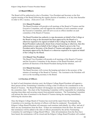Kilgore College Board of Trustees Procedure Manual

#### **2.3 Board Officers**

The Board will be authorized to elect a President, Vice-President and Secretary at the first regular meeting of the Board following the regular election of members, or at any time thereafter in order to fill a vacancy. *(Education Code 130.082 (d))*

#### **2.3.1 Board President**

The Board President will preside at all meetings of the Board of Trustees and the Executive Committee, and will appoint the members of each committee except the Executive Committee, and will serve as an ex-officio member on each committee of the Board of Trustees.

The Board President has authority to sign documents on behalf of the College or the Board as long as the document has been approved by the Board or is otherwise required to be signed on behalf of the College by the Board. If the Board President is physically absent from a board meeting or otherwise, then this authorization to sign on behalf of the College or Board is given to the Vice President and/or Secretary of the Board of Trustees and applies to any and all documents approved by the Board or is otherwise required to be signed on behalf of the College by the Board.

#### **2.3.2 Board Vice-President**

The Board Vice-President will preside at all meetings of the Board of Trustees and the Executive Committee in the absence of the Board President, and will perform all functions of the Board President during his/her absence.

#### **2.3.3 Board Secretary**

The Board Secretary will oversee the keeping and attest to the accuracy of the minutes of meetings of the Board of Trustees. The Assistant to the President will serve as the recording secretary to the Board.

#### **2.4 Election of Officers**

In April of each biennium (election year), the Kilgore College Board President will appoint a three person ad-hoc Nominating Committee to bring a slate of officers for consideration to the Board of Trustees. The Board President will designate one member of the committee to serve as the committee chair. The chair of the Nominating Committee will be responsible for scheduling meeting times/dates and securing consent from potential nominees. The Nominating Committee will present the slate of nominees to the Board of Trustees during the meeting immediately following the election date.

Once the Kilgore College Board of Trustees has received the report from the Nominating Committee at its meeting, the election of officers will then be conducted. Procedurally, the Kilgore College Board President will announce each nominee individually, by office, and ask if there are any nominations from the floor. If there are nominations from the floor, the name of that nominee(s) will be added to the slate of officers presented by the ad-hoc Nominating Committee for said Kilgore College Board Officer. After all nominations from the floor have been heard, the nominations will be closed and the Kilgore College Board President will conduct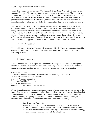the election process for that position. The Kilgore College Board President will read who the nominee(s) for the office are and request a show of hands for each nominee. The nominee with the most votes from the Board of Trustees present at the meeting and constituting a quorum will be deemed as the elected officer. In the case where two or more nominees are slated for a particular office and the vote produces a tie, the two candidates with the most votes will be immediately placed into a run-off vote for the purpose of electing one individual to the office.

After an officer has been elected, the Kilgore College Board President will continue the election of the other officers in the manner prescribed and until all officers have been elected. Each newly elected officer will serve a two-year term and automatically become a member of the Kilgore College Board of Trustees Executive Committee. Any member of the Kilgore College Board of Trustees is eligible to serve multiple terms as an elected Board officer. Upon an officer's resignation or removal from the Kilgore College Board of Trustees, the Kilgore College Board President will appoint a member to fulfill the remainder of the officer's term.

#### **2.5 Plan for Succession**

The President of the Board of Trustees will be succeeded by the Vice-President of the Board in case the President is no longer able to perform his/her duties due to resignation, sudden incapacity or death.

#### **2.6 Board Committees**

Board Committees will meet regularly. Committees meetings will be scheduled during the months of October, November, January, March, and May. Service on a committee will mean additional meetings and Trustees may be asked to serve on more than one committee.

Committees include: Executive Committee (President, Vice President and Secretary of the Board) Investment, Finance & Audit Committee Policy & Personnel Committee Property & Facilities Committee Student Success Committee Other committees may be formed as needed

Board Committees always contain less than a quorum of members so they are not subject to the Open Meetings Act and committee meetings do not need to be posted. However, if the Board of Trustees grants a Committee the authority to supervise public business, or more than a quorum of members will be participating in the meeting, then that Committee meeting must be posted. (For instance, if the Committee is authorized to finalize a contract for the Board).

#### **2.6.1 Executive Committee**

Membership of this committee is composed of the officers of the Board of Trustees. The Executive Committee meets regularly with the college President and other staff as needed to review Board agenda items and to facilitate planning, coordination, and communication with the entire Board.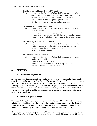#### **2.6.2 Investment, Finance & Audit Committee**

The Committee will advise the college's Board of Trustees with regard to:

- any amendments or revisions of the college's investment policy
- an investment strategy for the transition of investments
- account balances and strategic budgetary advice
- structure and findings of internal and external audits

#### **2.6.3 Policy & Personnel Committee**

The Committee will advise the college's Board of Trustees with regard to:

- proposed policy
- amendments or revisions to current college policy
- amendments or revisions to Board Bylaws and Procedure Manual
- personnel issues, including the evaluation of the college President

#### **2.6.4 Property & Facilities Committee**

The Committee will advise the college's Board of Trustees with regard to:

- available and current real estate, property and facility needs
- future direction for property and facilities
- strategic facilities planning

#### **2.6.5 Student Success Committee**

The Committee will advise the college's Board of Trustees with regard to:

- student success initiatives
- data related to student success
- Achieving the Dream and Guided Pathways Initiatives
- Institutional annual and strategic planning

#### **3. MEETINGS**

#### **3.1 Regular Meeting Structure**

Regular Board meetings are usually held on the second Monday of the month. According to State Statute, regular meetings of the Board of Trustees will be held no fewer than four times per year. The Kilgore College Board usually meets 7 times per year: September, December, February, April, June, July (Budget Workshop), and August. The Assistant to the President will forward, via email, a Trustee availability request for meetings. Trustees are asked to indicate whether they are able to attend the specified meetings. Emergency meetings are allowed as prescribed by state laws.

#### **3.2 Notice of Regular Meetings**

The place of all regular meetings of the Board will be the second floor of the Stewart McLaurin Administration Building unless the notice of the meeting indicates otherwise. The Board of Trustees will give public notice of the date, hour, place, and subject of the meeting at least 72 hours before the regularly scheduled meeting. *(Texas Government Code 551.041).* 

Notice of each meeting will be posted at the Gregg County Courthouse; in a prominent place on the first floor of the McLaurin Administration Building on the KC Campus; be provided to the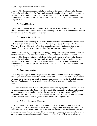general public through posting on the Kilgore College website at www.Kilgore.edu; through local media outlets including the *Flare*; and as desired at another place convenient to the public. Posting notice is mandatory, and actions taken at a meeting for which notice was posted incorrectly will be voidable. *(Texas Government Code 551.055, 551.056 and Education Code, Chapter 130).*

# **3.3 Special Meetings**

Special Board meetings are held if needed. The Assistant to the President will forward, via email, a Trustee availability request for special meetings. Trustees are asked to indicate whether they are able to attend the specified meetings.

# **3.4 Notice of Special Meetings**

The place of all special meetings of the Board will be the second floor of the Stewart McLaurin Administration Building unless the notice of the meeting indicates otherwise. The Board of Trustees will give public notice of the date, hour, place, and subject of the meeting at least 72 hours before the regularly scheduled meeting. *(Texas Government Code 551.041).* 

Notice of each meeting will be posted at the Gregg County Courthouse; in a prominent place on the first floor of the McLaurin Administration Building on the KC Campus; be provided to the general public through posting on the Kilgore College website at www.Kilgore.edu; through local media outlets including the *Flare*; and as desired at another place convenient to the public. Posting notice is mandatory, and actions taken at a meeting for which notice was posted incorrectly will be voidable. *(Texas Government Code 551.055, 551.056 and Education Code, Chapter 130).*

# **3.5 Emergency Meetings**

Emergency Meetings are allowed as prescribed by state law. Public notice of an emergency meeting must be in accordance with Texas Government Code Section 551.045. An emergency or urgent public necessity exists only if immediate action is required by the Board of Trustees because of an imminent threat to public health and safety, or a reasonably unforeseeable situation.

The Board of Trustees will clearly identify the emergency or urgent public necessity in the notice or supplemental notice. The Board of Trustees may hold a meeting by telephone conference if an emergency or urgent public necessity exists and convening at one location is difficult or impossible. The Board of Trustees determination that an emergency exists is subject to judicial review. The existence of an emergency depends on the facts in a given case.

#### **3.6 Notice of Emergency Meetings**

In an emergency or when there is an urgent public necessity, the notice of a meeting or the supplemental notice of a subject added as an item to the agenda for a meeting for which notice has been posted in accordance with Section 551.045 is sufficient if it is posted for at least two hours before the meeting is convened. Notice of emergency meetings or supplemental notice of an emergency item added to the agenda of a meeting of the Board of Trustees to address a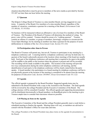situation described above must be given to members of the news media as provided by Section 551.047 not later than one hour before the meeting.

# **3.7 Quorum**

The Kilgore College Board of Trustees is a nine-member Board, serving staggered six year terms. A majority of the Board, five members of a nine-member Board, regardless of the number of vacancies, constitutes a quorum for a meeting of the Board. *(Government Code 551.001(6), 311.013(b))*

No business will be transacted without an affirmative vote of at least five members of the Board of Trustees. The President of the Board of Trustees will determine the method of voting. No proxy votes will be counted. Trustees should be aware of a "walking quorum". Trustees commit an offense if a member, or group of members, knowingly conspires to circumvent the Texas Open Meetings Act by meeting in numbers less than a quorum for the purpose of secret deliberations in violation of the Act. *(Government Code, Section 551.143)*

#### **3.8 Participation other than in Person**

The Board of Trustees will permit any, but not all, Trustees to participate in any meeting by a telephone conference call. A meeting held by a telephone conference call may be held only if a quorum of the board is physically present at the location where meetings of the board are usually held. Each part of the telephone conference call meeting that is required to be open to the public will be audible to the public at the location where the quorum is present and will be recorded. The recording will be made available to the public. The location of the meeting will provide two-way communication during the entire telephone conference call meeting, and the identification of each party to the telephone conference will be clearly stated before the party speaks. A board member who participates in a board meeting by telephone conference call but is not physically present at the location of the meeting is considered to be absent from the meeting for purposes of *Education Code, Section 130.0845*. *(Texas Government Code 551.122)*

#### **3.9 Agenda**

The official agenda is prepared by the Board President. Suggested agenda items may be submitted to the Board President with a copy to the Assistant to the President. The draft agenda will be reviewed by the college President and the Executive Committee of the Board. The college attorney will be consulted if needed. The official agenda and supporting documentation will be distributed electronically to Board members via BoardBook prior to the meeting to give Trustees ample time to consider their decisions whenever possible.

#### **3.10 Placing an Item on the Agenda**

The Executive Committee of the Board and the college President generally meet a week before a scheduled meeting to finalize the agenda. Meeting times will vary, so members are advised to consult with the President's Office for exact date and time.

The college President or the Board President may place items on the agenda for presentation to the Board.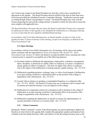Any Trustee may request to the Board President any item they wish to have considered for placement on the agenda. The Board President must be notified of the item no later than noon of the day preceding the scheduled Executive Committee Meeting. Notification must be made in writing through written correspondence or email. The Board President may work with the Trustee proposing the item and the college attorney if needed to clarify the item and to ensure the item complies with applicable laws.

The Board President will ensure that any topics the Board or individual Trustees have requested be addressed are either on that agenda or are scheduled for deliberation at a subsequent meeting to occur no later than the next regularly scheduled Board meeting.

In accordance with Texas Open Meetings laws, no Board member can place an item on the agenda less than 72 hours in advance of the meeting, except in an emergency as defined by the Texas Government Code.

#### **3.11 Open Meetings**

In accordance with the Texas Public Information Act, all meetings will be open to the public, unless consistent with the requirements of *Texas Government Code, Section 551*. *Texas Government Code, Section 551* allows the Board to exclude the public from a meeting only when a closed session is required to accomplish one of the following purposes:

- (1) Personnel matters to deliberate the appointment, employment, evaluation, reassignment, duties, discipline, or dismissal of a public officer or employee; or to hear a complaint or charge against an officer or employee. This does not apply if the officer or employee who is the subject of the deliberation or hearing requests a public hearing. *(Sec. 551.074)*
- (2) Deliberation regarding purchase, exchange, lease, or value of real property if deliberation in an open meeting would have a detrimental effect on the position of the college in negotiations with a third person. *(Sec. 551.072)*
- (3) Consult with an attorney on pending or contemplated litigation; or a settlement offer. *(Sec. 551.071)* NOTE: The Board of Trustees may use a conference call to consult with its attorney provided the attorney is not an employee of the college.
- (4) Deliberation of a negotiated contract for a prospective gift or donation to the college if deliberation in an open meeting would have a detrimental effect on the position of the college in negotiations with a third person. *(Sec. 551.073)*
- (5) Deliberation regarding the deployment, or specific occasions for implementation, of security personnel or devices; or a security audit. *(Sec. 551.076)*

#### **3.12 Citizen Comments**

During the "Public Comments" section of the Board agenda, any person planning to address the Board on an item listed on the agenda shall complete the appropriate speaker participation form, available at the Recording Secretary Table, and submit it to the Recording Secretary prior to the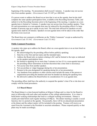beginning of the meeting. No presentation shall exceed 3 minutes. A speaker may not accrue time from another speaker. *(Government Code 551.007 per HB2840)*

If a person wants to address the Board on an item that is not on the agenda, then he/she shall complete the same speaker participation form, available at the Recording Secretary Table, and submit it to the Recording Secretary prior to the beginning of the meeting. A speaker on a nonagenda item is limited to 3 minutes. A speaker may not accrue time from another speaker. Time for each presentation on a non-agenda item may be reduced by the presiding officer if a large number of persons sign up to speak on any item. The total time allowed for speakers on nonagenda items shall be 20 minutes. Speakers on non-agenda items will be taken in the order that the forms were received.

The Board does not comment or deliberate on the "Public Comments" except as authorized by *Government Code 551.042. (Government Code 551.042)*

# **Public Comment Procedures:**

A speaker who signs up to address the Board, either on a non-agenda item or on an item listed on the agenda, shall:

- 1. Be acknowledged by the presiding officer before publicly speaking;
- 2. State his or her first and last name and the intended topic;
- 3. Address the Board only on matters relating to KC and be limited to the topic as indicated on the speaker participation form;
- 4. Be limited to speaking for no more than 3 minutes (or less if it is a non-agenda item and the presiding officer determines in his/her discretion that a time limit is necessary);
- 5. Not accrue time from another speaker;
- 6. Not use profane or vulgar language during his or her presentation;
- 7. Remain in the area designated for speaking during his or her presentation;
- 8. Any handouts from speakers or other citizens must include the name of the person or organization providing the handout and must be handed out during the speaking time.
- 9. Be allowed to address the Board before its consideration if it is an agenda item.

The presiding officer shall have the authority to suspend the speaker's time if he or she does not comply with the listed procedures.

#### **3.13 Board Dinner**

The Board dinner is a time honored tradition at Kilgore College and is a time for the Board to meet in fellowship with each other and members of the college administration. It is a time to build better working relationships that lead to a collegial working environment. Dinner is usually provided before each regular meeting at 6:00p.m. The dinner meeting is usually a social function, but it is posted on the agenda. Occasionally, there will be an educational presentation at the dinner and the subject matter will be included in the posting. Trustees will receive an email from the Assistant to the President to ascertain attendance. Please respond quickly so that plans may be made accordingly.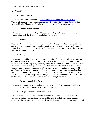Kilgore College Board of Trustees Procedure Manual

#### **4. OTHER**

#### **4.1 Board Website**

The Board website may be found at: [http://www.kilgore.edu/hr\\_board\\_trustees.asp](http://www.kilgore.edu/hr_board_trustees.asp) Trustee Information, Trustee Organization and By-Laws, Regular Meeting Dates, Meeting Agenda, Meeting Minutes and Standing Committees may be found on the website.

#### **4.2 College ID/Parking Permits**

All Trustees will be given a college ID badge and a college parking permit. These are maintained through the Kilgore College Police Department.

#### **4.3 Mileage**

Trustees will be reimbursed for attending meetings/events by personal automobile at the state approved rate. Trustees are encouraged to submit a "Reimbursement Worksheet" form on a regular basis (period: not to exceed 60 days). The Assistant to the President has the forms and will process completed forms.

#### **4.4 Travel**

Trustees may attend local, state, regional, and national conferences. Travel arrangements are coordinated by the Assistant to the President. The Assistant to the President will forward information to Trustees regarding upcoming conferences and will confirm hotel and conference registration. Trustees are required to submit a "Reimbursement Worksheet." Out-of-pocket expenses may be included on this form. Board members will be reimbursed for reasonable actual expense for meals at conferences. For reimbursement of such expenses, the Board member will submit the itemized receipt, a list of the attendees, and the purpose of the business meal. Expenses for alcoholic beverages and related gratuities will not be reimbursed. The Assistant to the President has the forms and processes receipts and completed forms.

#### **4.5 Invitations to College Events**

Trustees are encouraged to attend college special events. The Assistant to the President will inform the Trustees via email of any special college events.

#### **4.6 College Commencement Participation**

All Trustees are invited and encouraged to attend the Kilgore College commencement ceremonies. Kilgore College has a ceremony at the end of the fall, spring, and summer semesters. The Assistant to the President will provide information to the Trustees on dates and receptions.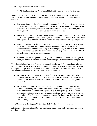#### **4.7 Media, Including the Use of Social Media, Recommendations for Trustees**

Upon being contacted by the media, Trustees are encouraged to advise and consult with the Board President and/or with the college President for assistance with an informed and accurate response.

- Determine if the issue is an "operational" matter or a "policy" matter. Trustee comments on policy matters are entirely appropriate. On operational questions, it frequently is best to refer those to the college President's office to check the status of the matter, including finding out whether or not Kilgore College is aware of the issue.
- Before getting back to the reporter, think through the points you want to make, as well as any additional potential questions the reporter might have. The college President's office or Kilgore College's Public Information office can help you work through this process.
- Keep your comments to the point, and look to reinforce key Kilgore College messages about the high quality of education offered at Kilgore College, Kilgore College's commitment to the community not only to offer a high quality of education but also to be a good steward of public trust and tax dollars, and to the openness and accountability of the college, its Trustees and administrators.
- If you feel you are being drawn into a "gotcha" or "ambush" situation, ask the reporter, again, what the story is about and consider referring the matter back to college personnel.

The Kilgore College Board of Trustees has adopted a Social Media Policy outlining rules and procedures for the use of official Kilgore College social media sites as well as private accounts of Kilgore College Trustees, Administrators, Faculty and Staff. Trustees are encouraged to acquaint themselves with the official Board Policy, specifically:

- Be aware of your association with Kilgore College when posting on social media. Your content should be consistent with the educational goals and mission of Kilgore College and should not undermine the effectiveness or the inclusiveness of the College to all individuals.
- Be sure that all postings, comments, pictures, or other content do not appear to be affiliated with or express the views of Kilgore College, and are clearly your personal views and/or speech. Do not use Kilgore College branding or logos in your personal online posts without prior express written authorization. The only exception being that all members of the College community are encouraged to include on their personal social media any official Kilgore College message originally communicated via an official KC social media platform.

#### **4.8 Changes to the Kilgore College Board of Trustees Procedure Manual**

All changes to this manual must be presented to and approved by the Board during a regularly scheduled meeting.